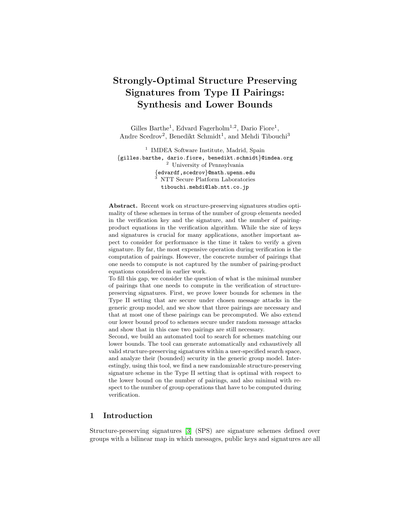# Strongly-Optimal Structure Preserving Signatures from Type II Pairings: Synthesis and Lower Bounds

Gilles Barthe<sup>1</sup>, Edvard Fagerholm<sup>1,2</sup>, Dario Fiore<sup>1</sup>, Andre Scedrov<sup>2</sup>, Benedikt Schmidt<sup>1</sup>, and Mehdi Tibouchi<sup>3</sup>

<sup>1</sup> IMDEA Software Institute, Madrid, Spain {gilles.barthe, dario.fiore, benedikt.schmidt}@imdea.org <sup>2</sup> University of Pennsylvania {edvardf,scedrov}@math.upenn.edu <sup>3</sup> NTT Secure Platform Laboratories tibouchi.mehdi@lab.ntt.co.jp

Abstract. Recent work on structure-preserving signatures studies optimality of these schemes in terms of the number of group elements needed in the verification key and the signature, and the number of pairingproduct equations in the verification algorithm. While the size of keys and signatures is crucial for many applications, another important aspect to consider for performance is the time it takes to verify a given signature. By far, the most expensive operation during verification is the computation of pairings. However, the concrete number of pairings that one needs to compute is not captured by the number of pairing-product equations considered in earlier work.

To fill this gap, we consider the question of what is the minimal number of pairings that one needs to compute in the verification of structurepreserving signatures. First, we prove lower bounds for schemes in the Type II setting that are secure under chosen message attacks in the generic group model, and we show that three pairings are necessary and that at most one of these pairings can be precomputed. We also extend our lower bound proof to schemes secure under random message attacks and show that in this case two pairings are still necessary.

Second, we build an automated tool to search for schemes matching our lower bounds. The tool can generate automatically and exhaustively all valid structure-preserving signatures within a user-specified search space, and analyze their (bounded) security in the generic group model. Interestingly, using this tool, we find a new randomizable structure-preserving signature scheme in the Type II setting that is optimal with respect to the lower bound on the number of pairings, and also minimal with respect to the number of group operations that have to be computed during verification.

# 1 Introduction

Structure-preserving signatures [\[3\]](#page-19-0) (SPS) are signature schemes defined over groups with a bilinear map in which messages, public keys and signatures are all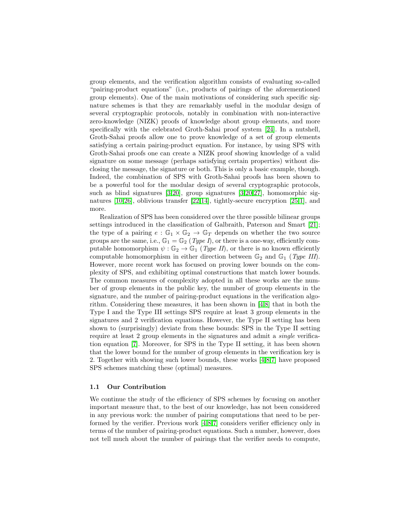group elements, and the verification algorithm consists of evaluating so-called "pairing-product equations" (i.e., products of pairings of the aforementioned group elements). One of the main motivations of considering such specific signature schemes is that they are remarkably useful in the modular design of several cryptographic protocols, notably in combination with non-interactive zero-knowledge (NIZK) proofs of knowledge about group elements, and more specifically with the celebrated Groth-Sahai proof system [\[24\]](#page-21-0). In a nutshell, Groth-Sahai proofs allow one to prove knowledge of a set of group elements satisfying a certain pairing-product equation. For instance, by using SPS with Groth-Sahai proofs one can create a NIZK proof showing knowledge of a valid signature on some message (perhaps satisfying certain properties) without disclosing the message, the signature or both. This is only a basic example, though. Indeed, the combination of SPS with Groth-Sahai proofs has been shown to be a powerful tool for the modular design of several cryptographic protocols, such as blind signatures [\[3,](#page-19-0)[20\]](#page-21-1), group signatures [\[3,](#page-19-0)[20,](#page-21-1)[27\]](#page-21-2), homomorphic signatures [\[10,](#page-20-0)[26\]](#page-21-3), oblivious transfer [\[22,](#page-21-4)[14\]](#page-20-1), tightly-secure encryption [\[25,](#page-21-5)[1\]](#page-19-1), and more.

Realization of SPS has been considered over the three possible bilinear groups settings introduced in the classification of Galbraith, Paterson and Smart [\[21\]](#page-21-6); the type of a pairing  $e : \mathbb{G}_1 \times \mathbb{G}_2 \to \mathbb{G}_T$  depends on whether the two source groups are the same, i.e.,  $\mathbb{G}_1 = \mathbb{G}_2$  (*Type I*), or there is a one-way, efficiently computable homomorphism  $\psi : \mathbb{G}_2 \to \mathbb{G}_1$  (*Type II*), or there is no known efficiently computable homomorphism in either direction between  $\mathbb{G}_2$  and  $\mathbb{G}_1$  (Type III). However, more recent work has focused on proving lower bounds on the complexity of SPS, and exhibiting optimal constructions that match lower bounds. The common measures of complexity adopted in all these works are the number of group elements in the public key, the number of group elements in the signature, and the number of pairing-product equations in the verification algorithm. Considering these measures, it has been shown in [\[4,](#page-19-2)[8\]](#page-20-2) that in both the Type I and the Type III settings SPS require at least 3 group elements in the signatures and 2 verification equations. However, the Type II setting has been shown to (surprisingly) deviate from these bounds: SPS in the Type II setting require at least 2 group elements in the signatures and admit a single verification equation [\[7\]](#page-20-3). Moreover, for SPS in the Type II setting, it has been shown that the lower bound for the number of group elements in the verification key is 2. Together with showing such lower bounds, these works [\[4,](#page-19-2)[8](#page-20-2)[,7\]](#page-20-3) have proposed SPS schemes matching these (optimal) measures.

#### 1.1 Our Contribution

We continue the study of the efficiency of SPS schemes by focusing on another important measure that, to the best of our knowledge, has not been considered in any previous work: the number of pairing computations that need to be performed by the verifier. Previous work [\[4,](#page-19-2)[8,](#page-20-2)[7\]](#page-20-3) considers verifier efficiency only in terms of the number of pairing-product equations. Such a number, however, does not tell much about the number of pairings that the verifier needs to compute,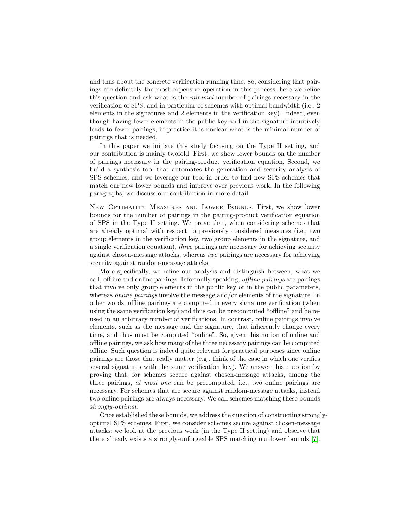and thus about the concrete verification running time. So, considering that pairings are definitely the most expensive operation in this process, here we refine this question and ask what is the minimal number of pairings necessary in the verification of SPS, and in particular of schemes with optimal bandwidth (i.e., 2 elements in the signatures and 2 elements in the verification key). Indeed, even though having fewer elements in the public key and in the signature intuitively leads to fewer pairings, in practice it is unclear what is the minimal number of pairings that is needed.

In this paper we initiate this study focusing on the Type II setting, and our contribution is mainly twofold. First, we show lower bounds on the number of pairings necessary in the pairing-product verification equation. Second, we build a synthesis tool that automates the generation and security analysis of SPS schemes, and we leverage our tool in order to find new SPS schemes that match our new lower bounds and improve over previous work. In the following paragraphs, we discuss our contribution in more detail.

New Optimality Measures and Lower Bounds. First, we show lower bounds for the number of pairings in the pairing-product verification equation of SPS in the Type II setting. We prove that, when considering schemes that are already optimal with respect to previously considered measures (i.e., two group elements in the verification key, two group elements in the signature, and a single verification equation), three pairings are necessary for achieving security against chosen-message attacks, whereas two pairings are necessary for achieving security against random-message attacks.

More specifically, we refine our analysis and distinguish between, what we call, offline and online pairings. Informally speaking, offline pairings are pairings that involve only group elements in the public key or in the public parameters, whereas *online pairings* involve the message and/or elements of the signature. In other words, offline pairings are computed in every signature verification (when using the same verification key) and thus can be precomputed "offline" and be reused in an arbitrary number of verifications. In contrast, online pairings involve elements, such as the message and the signature, that inherently change every time, and thus must be computed "online". So, given this notion of online and offline pairings, we ask how many of the three necessary pairings can be computed offline. Such question is indeed quite relevant for practical purposes since online pairings are those that really matter (e.g., think of the case in which one verifies several signatures with the same verification key). We answer this question by proving that, for schemes secure against chosen-message attacks, among the three pairings, at most one can be precomputed, i.e., two online pairings are necessary. For schemes that are secure against random-message attacks, instead two online pairings are always necessary. We call schemes matching these bounds strongly-optimal.

Once established these bounds, we address the question of constructing stronglyoptimal SPS schemes. First, we consider schemes secure against chosen-message attacks: we look at the previous work (in the Type II setting) and observe that there already exists a strongly-unforgeable SPS matching our lower bounds [\[7\]](#page-20-3).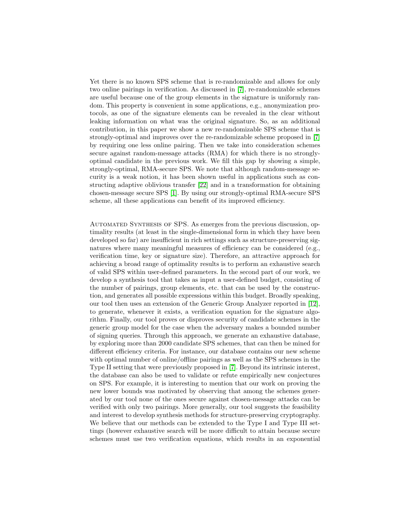Yet there is no known SPS scheme that is re-randomizable and allows for only two online pairings in verification. As discussed in [\[7\]](#page-20-3), re-randomizable schemes are useful because one of the group elements in the signature is uniformly random. This property is convenient in some applications, e.g., anonymization protocols, as one of the signature elements can be revealed in the clear without leaking information on what was the original signature. So, as an additional contribution, in this paper we show a new re-randomizable SPS scheme that is strongly-optimal and improves over the re-randomizable scheme proposed in [\[7\]](#page-20-3) by requiring one less online pairing. Then we take into consideration schemes secure against random-message attacks (RMA) for which there is no stronglyoptimal candidate in the previous work. We fill this gap by showing a simple, strongly-optimal, RMA-secure SPS. We note that although random-message security is a weak notion, it has been shown useful in applications such as constructing adaptive oblivious transfer [\[22\]](#page-21-4) and in a transformation for obtaining chosen-message secure SPS [\[1\]](#page-19-1). By using our strongly-optimal RMA-secure SPS scheme, all these applications can benefit of its improved efficiency.

Automated Synthesis of SPS. As emerges from the previous discussion, optimality results (at least in the single-dimensional form in which they have been developed so far) are insufficient in rich settings such as structure-preserving signatures where many meaningful measures of efficiency can be considered (e.g., verification time, key or signature size). Therefore, an attractive approach for achieving a broad range of optimality results is to perform an exhaustive search of valid SPS within user-defined parameters. In the second part of our work, we develop a synthesis tool that takes as input a user-defined budget, consisting of the number of pairings, group elements, etc. that can be used by the construction, and generates all possible expressions within this budget. Broadly speaking, our tool then uses an extension of the Generic Group Analyzer reported in [\[12\]](#page-20-4), to generate, whenever it exists, a verification equation for the signature algorithm. Finally, our tool proves or disproves security of candidate schemes in the generic group model for the case when the adversary makes a bounded number of signing queries. Through this approach, we generate an exhaustive database, by exploring more than 2000 candidate SPS schemes, that can then be mined for different efficiency criteria. For instance, our database contains our new scheme with optimal number of online/offline pairings as well as the SPS schemes in the Type II setting that were previously proposed in [\[7\]](#page-20-3). Beyond its intrinsic interest, the database can also be used to validate or refute empirically new conjectures on SPS. For example, it is interesting to mention that our work on proving the new lower bounds was motivated by observing that among the schemes generated by our tool none of the ones secure against chosen-message attacks can be verified with only two pairings. More generally, our tool suggests the feasibility and interest to develop synthesis methods for structure-preserving cryptography. We believe that our methods can be extended to the Type I and Type III settings (however exhaustive search will be more difficult to attain because secure schemes must use two verification equations, which results in an exponential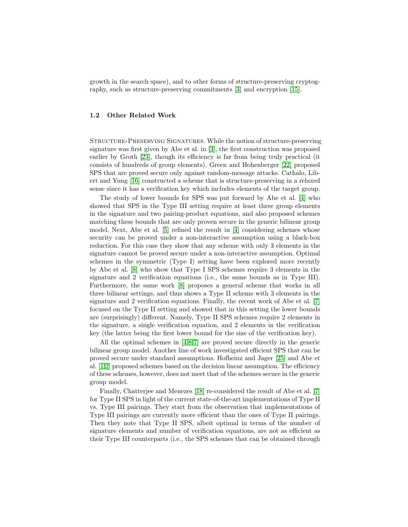growth in the search space), and to other forms of structure-preserving cryptography, such as structure-preserving commitments [\[3\]](#page-19-0) and encryption [\[15\]](#page-20-5).

#### 1.2 Other Related Work

Structure-Preserving Signatures. While the notion of structure-preserving signature was first given by Abe et al. in [\[3\]](#page-19-0), the first construction was proposed earlier by Groth [\[23\]](#page-21-7), though its efficiency is far from being truly practical (it consists of hundreds of group elements). Green and Hohenberger [\[22\]](#page-21-4) proposed SPS that are proved secure only against random-message attacks. Cathalo, Libert and Yung [\[16\]](#page-20-6) constructed a scheme that is structure-preserving in a relaxed sense since it has a verification key which includes elements of the target group.

The study of lower bounds for SPS was put forward by Abe et al. [\[4\]](#page-19-2) who showed that SPS in the Type III setting require at least three group elements in the signature and two pairing-product equations, and also proposed schemes matching these bounds that are only proven secure in the generic bilinear group model. Next, Abe et al. [\[5\]](#page-19-3) refined the result in [\[4\]](#page-19-2) considering schemes whose security can be proved under a non-interactive assumption using a black-box reduction. For this case they show that any scheme with only 3 elements in the signature cannot be proved secure under a non-interactive assumption. Optimal schemes in the symmetric (Type I) setting have been explored more recently by Abe et al. [\[8\]](#page-20-2) who show that Type I SPS schemes require 3 elements in the signature and 2 verification equations (i.e., the same bounds as in Type III). Furthermore, the same work [\[8\]](#page-20-2) proposes a general scheme that works in all three bilinear settings, and thus shows a Type II scheme with 3 elements in the signature and 2 verification equations. Finally, the recent work of Abe et al. [\[7\]](#page-20-3) focused on the Type II setting and showed that in this setting the lower bounds are (surprisingly) different. Namely, Type II SPS schemes require 2 elements in the signature, a single verification equation, and 2 elements in the verification key (the latter being the first lower bound for the size of the verification key).

All the optimal schemes in [\[4,](#page-19-2)[8,](#page-20-2)[7\]](#page-20-3) are proved secure directly in the generic bilinear group model. Another line of work investigated efficient SPS that can be proved secure under standard assumptions. Hofheinz and Jager [\[25\]](#page-21-5) and Abe et al. [\[1](#page-19-1)[,2\]](#page-19-4) proposed schemes based on the decision linear assumption. The efficiency of these schemes, however, does not meet that of the schemes secure in the generic group model.

Finally, Chatterjee and Menezes [\[18\]](#page-21-8) re-considered the result of Abe et al. [\[7\]](#page-20-3) for Type II SPS in light of the current state-of-the-art implementations of Type II vs. Type III pairings. They start from the observation that implementations of Type III pairings are currently more efficient than the ones of Type II pairings. Then they note that Type II SPS, albeit optimal in terms of the number of signature elements and number of verification equations, are not as efficient as their Type III counterparts (i.e., the SPS schemes that can be obtained through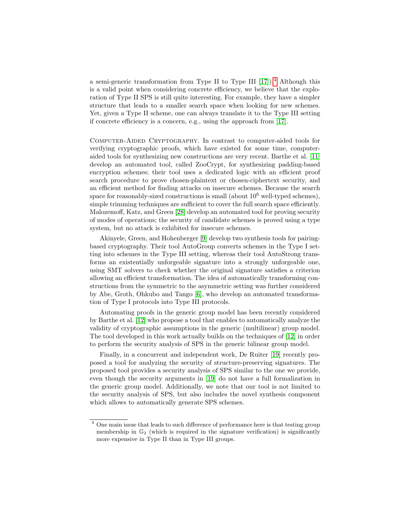a semi-generic transformation from Type II to Type III  $[17]$ .<sup>[4](#page-5-0)</sup> Although this is a valid point when considering concrete efficiency, we believe that the exploration of Type II SPS is still quite interesting. For example, they have a simpler structure that leads to a smaller search space when looking for new schemes. Yet, given a Type II scheme, one can always translate it to the Type III setting if concrete efficiency is a concern, e.g., using the approach from [\[17\]](#page-20-7).

Computer-Aided Cryptography. In contrast to computer-aided tools for verifying cryptographic proofs, which have existed for some time, computeraided tools for synthesizing new constructions are very recent. Barthe et al. [\[11\]](#page-20-8) develop an automated tool, called ZooCrypt, for synthesizing padding-based encryption schemes; their tool uses a dedicated logic with an efficient proof search procedure to prove chosen-plaintext or chosen-ciphertext security, and an efficient method for finding attacks on insecure schemes. Because the search space for reasonably-sized constructions is small (about  $10^6$  well-typed schemes), simple trimming techniques are sufficient to cover the full search space efficiently. Malozemoff, Katz, and Green [\[28\]](#page-21-9) develop an automated tool for proving security of modes of operations; the security of candidate schemes is proved using a type system, but no attack is exhibited for insecure schemes.

Akinyele, Green, and Hohenberger [\[9\]](#page-20-9) develop two synthesis tools for pairingbased cryptography. Their tool AutoGroup converts schemes in the Type I setting into schemes in the Type III setting, whereas their tool AutoStrong transforms an existentially unforgeable signature into a strongly unforgeable one, using SMT solvers to check whether the original signature satisfies a criterion allowing an efficient transformation. The idea of automatically transforming constructions from the symmetric to the asymmetric setting was further considered by Abe, Groth, Ohkubo and Tango [\[6\]](#page-19-5), who develop an automated transformation of Type I protocols into Type III protocols.

Automating proofs in the generic group model has been recently considered by Barthe et al. [\[12\]](#page-20-4) who propose a tool that enables to automatically analyze the validity of cryptographic assumptions in the generic (multilinear) group model. The tool developed in this work actually builds on the techniques of [\[12\]](#page-20-4) in order to perform the security analysis of SPS in the generic bilinear group model.

Finally, in a concurrent and independent work, De Ruiter [\[19\]](#page-21-10) recently proposed a tool for analyzing the security of structure-preserving signatures. The proposed tool provides a security analysis of SPS similar to the one we provide, even though the security arguments in [\[19\]](#page-21-10) do not have a full formalization in the generic group model. Additionally, we note that our tool is not limited to the security analysis of SPS, but also includes the novel synthesis component which allows to automatically generate SPS schemes.

<span id="page-5-0"></span><sup>&</sup>lt;sup>4</sup> One main issue that leads to such difference of performance here is that testing group membership in  $\mathbb{G}_2$  (which is required in the signature verification) is significantly more expensive in Type II than in Type III groups.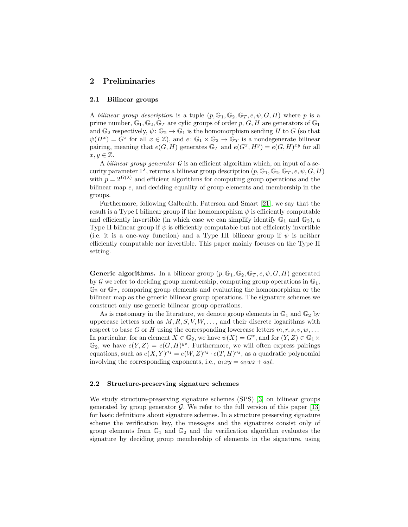# 2 Preliminaries

#### 2.1 Bilinear groups

A bilinear group description is a tuple  $(p, \mathbb{G}_1, \mathbb{G}_2, \mathbb{G}_T, e, \psi, G, H)$  where p is a prime number,  $\mathbb{G}_1, \mathbb{G}_2, \mathbb{G}_T$  are cylic groups of order p, G, H are generators of  $\mathbb{G}_1$ and  $\mathbb{G}_2$  respectively,  $\psi: \mathbb{G}_2 \to \mathbb{G}_1$  is the homomorphism sending H to G (so that  $\psi(H^x) = G^x$  for all  $x \in \mathbb{Z}$ , and  $e: \mathbb{G}_1 \times \mathbb{G}_2 \to \mathbb{G}_T$  is a nondegenerate bilinear pairing, meaning that  $e(G, H)$  generates  $\mathbb{G}_T$  and  $e(G^x, H^y) = e(G, H)^{xy}$  for all  $x, y \in \mathbb{Z}$ .

A *bilinear group generator*  $\mathcal G$  is an efficient algorithm which, on input of a security parameter  $1^{\lambda}$ , returns a bilinear group description  $(p,\mathbb{G}_1,\mathbb{G}_2,\mathbb{G}_T,e,\psi,G,H)$ with  $p = 2^{\Omega(\lambda)}$  and efficient algorithms for computing group operations and the bilinear map e, and deciding equality of group elements and membership in the groups.

Furthermore, following Galbraith, Paterson and Smart [\[21\]](#page-21-6), we say that the result is a Type I bilinear group if the homomorphism  $\psi$  is efficiently computable and efficiently invertible (in which case we can simplify identify  $\mathbb{G}_1$  and  $\mathbb{G}_2$ ), a Type II bilinear group if  $\psi$  is efficiently computable but not efficiently invertible (i.e. it is a one-way function) and a Type III bilinear group if  $\psi$  is neither efficiently computable nor invertible. This paper mainly focuses on the Type II setting.

**Generic algorithms.** In a bilinear group  $(p, \mathbb{G}_1, \mathbb{G}_2, \mathbb{G}_T, e, \psi, G, H)$  generated by  $G$  we refer to deciding group membership, computing group operations in  $\mathbb{G}_1$ ,  $\mathbb{G}_2$  or  $\mathbb{G}_T$ , comparing group elements and evaluating the homomorphism or the bilinear map as the generic bilinear group operations. The signature schemes we construct only use generic bilinear group operations.

As is customary in the literature, we denote group elements in  $\mathbb{G}_1$  and  $\mathbb{G}_2$  by uppercase letters such as  $M, R, S, V, W, \ldots$ , and their discrete logarithms with respect to base G or H using the corresponding lowercase letters  $m, r, s, v, w, \ldots$ In particular, for an element  $X \in \mathbb{G}_2$ , we have  $\psi(X) = G^x$ , and for  $(Y, Z) \in \mathbb{G}_1 \times$  $\mathbb{G}_2$ , we have  $e(Y, Z) = e(G, H)^{yz}$ . Furthermore, we will often express pairings equations, such as  $e(X, Y)^{a_1} = e(W, Z)^{a_2} \cdot e(T, H)^{a_3}$ , as a quadratic polynomial involving the corresponding exponents, i.e.,  $a_1xy = a_2wz + a_3t$ .

#### 2.2 Structure-preserving signature schemes

We study structure-preserving signature schemes (SPS) [\[3\]](#page-19-0) on bilinear groups generated by group generator  $\mathcal G$ . We refer to the full version of this paper [\[13\]](#page-20-10) for basic definitions about signature schemes. In a structure preserving signature scheme the verification key, the messages and the signatures consist only of group elements from  $\mathbb{G}_1$  and  $\mathbb{G}_2$  and the verification algorithm evaluates the signature by deciding group membership of elements in the signature, using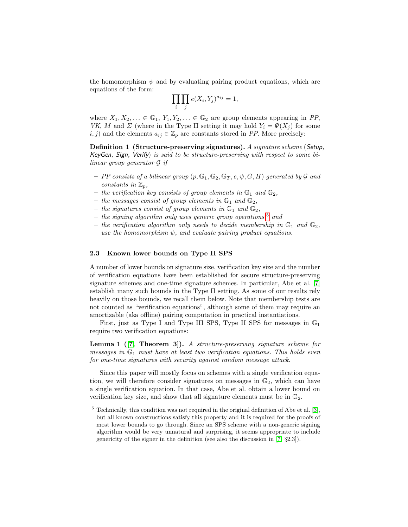the homomorphism  $\psi$  and by evaluating pairing product equations, which are equations of the form:

$$
\prod_i \prod_j e(X_i, Y_j)^{a_{ij}} = 1,
$$

where  $X_1, X_2, \ldots \in \mathbb{G}_1, Y_1, Y_2, \ldots \in \mathbb{G}_2$  are group elements appearing in PP, VK, M and  $\Sigma$  (where in the Type II setting it may hold  $Y_i = \Psi(X_i)$  for some  $i, j$  and the elements  $a_{ij} \in \mathbb{Z}_p$  are constants stored in PP. More precisely:

Definition 1 (Structure-preserving signatures). A signature scheme (Setup, KeyGen, Sign, Verify) is said to be structure-preserving with respect to some bilinear group generator G if

- PP consists of a bilinear group  $(p, \mathbb{G}_1, \mathbb{G}_2, \mathbb{G}_T, e, \psi, G, H)$  generated by  $\mathcal G$  and constants in  $\mathbb{Z}_p$ ,
- the verification key consists of group elements in  $\mathbb{G}_1$  and  $\mathbb{G}_2$ ,
- the messages consist of group elements in  $\mathbb{G}_1$  and  $\mathbb{G}_2$ ,
- the signatures consist of group elements in  $\mathbb{G}_1$  and  $\mathbb{G}_2$ ,
- $-$  the signing algorithm only uses generic group operations,<sup>[5](#page-7-0)</sup> and
- the verification algorithm only needs to decide membership in  $\mathbb{G}_1$  and  $\mathbb{G}_2$ , use the homomorphism  $\psi$ , and evaluate pairing product equations.

#### 2.3 Known lower bounds on Type II SPS

A number of lower bounds on signature size, verification key size and the number of verification equations have been established for secure structure-preserving signature schemes and one-time signature schemes. In particular, Abe et al. [\[7\]](#page-20-3) establish many such bounds in the Type II setting. As some of our results rely heavily on those bounds, we recall them below. Note that membership tests are not counted as "verification equations", although some of them may require an amortizable (aka offline) pairing computation in practical instantiations.

First, just as Type I and Type III SPS, Type II SPS for messages in  $\mathbb{G}_1$ require two verification equations:

Lemma 1 ([\[7,](#page-20-3) Theorem 3]). A structure-preserving signature scheme for messages in  $\mathbb{G}_1$  must have at least two verification equations. This holds even for one-time signatures with security against random message attack.

Since this paper will mostly focus on schemes with a single verification equation, we will therefore consider signatures on messages in  $\mathbb{G}_2$ , which can have a single verification equation. In that case, Abe et al. obtain a lower bound on verification key size, and show that all signature elements must be in  $\mathbb{G}_2$ .

<span id="page-7-1"></span><span id="page-7-0"></span> $5$  Technically, this condition was not required in the original definition of Abe et al. [\[3\]](#page-19-0), but all known constructions satisfy this property and it is required for the proofs of most lower bounds to go through. Since an SPS scheme with a non-generic signing algorithm would be very unnatural and surprising, it seems appropriate to include genericity of the signer in the definition (see also the discussion in [\[7,](#page-20-3) §2.3]).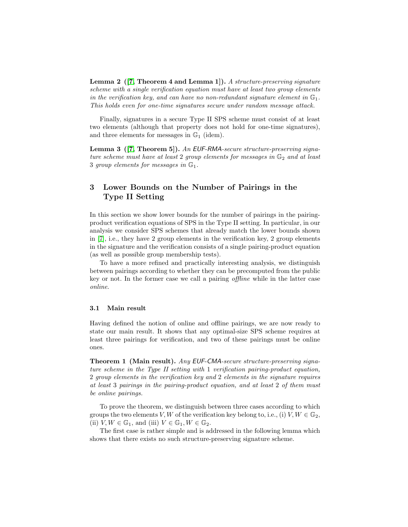Lemma 2 ([\[7,](#page-20-3) Theorem 4 and Lemma 1]). A structure-preserving signature scheme with a single verification equation must have at least two group elements in the verification key, and can have no non-redundant signature element in  $\mathbb{G}_1$ . This holds even for one-time signatures secure under random message attack.

<span id="page-8-0"></span>Finally, signatures in a secure Type II SPS scheme must consist of at least two elements (although that property does not hold for one-time signatures), and three elements for messages in  $\mathbb{G}_1$  (idem).

Lemma 3 ([\[7,](#page-20-3) Theorem 5]). An EUF-RMA-secure structure-preserving signature scheme must have at least 2 group elements for messages in  $\mathbb{G}_2$  and at least 3 group elements for messages in  $\mathbb{G}_1$ .

# 3 Lower Bounds on the Number of Pairings in the Type II Setting

In this section we show lower bounds for the number of pairings in the pairingproduct verification equations of SPS in the Type II setting. In particular, in our analysis we consider SPS schemes that already match the lower bounds shown in [\[7\]](#page-20-3), i.e., they have 2 group elements in the verification key, 2 group elements in the signature and the verification consists of a single pairing-product equation (as well as possible group membership tests).

To have a more refined and practically interesting analysis, we distinguish between pairings according to whether they can be precomputed from the public key or not. In the former case we call a pairing offline while in the latter case online.

#### 3.1 Main result

Having defined the notion of online and offline pairings, we are now ready to state our main result. It shows that any optimal-size SPS scheme requires at least three pairings for verification, and two of these pairings must be online ones.

<span id="page-8-1"></span>Theorem 1 (Main result). Any EUF-CMA-secure structure-preserving signature scheme in the Type II setting with 1 verification pairing-product equation, 2 group elements in the verification key and 2 elements in the signature requires at least 3 pairings in the pairing-product equation, and at least 2 of them must be online pairings.

To prove the theorem, we distinguish between three cases according to which groups the two elements V, W of the verification key belong to, i.e., (i)  $V, W \in \mathbb{G}_2$ , (ii)  $V, W \in \mathbb{G}_1$ , and (iii)  $V \in \mathbb{G}_1, W \in \mathbb{G}_2$ .

The first case is rather simple and is addressed in the following lemma which shows that there exists no such structure-preserving signature scheme.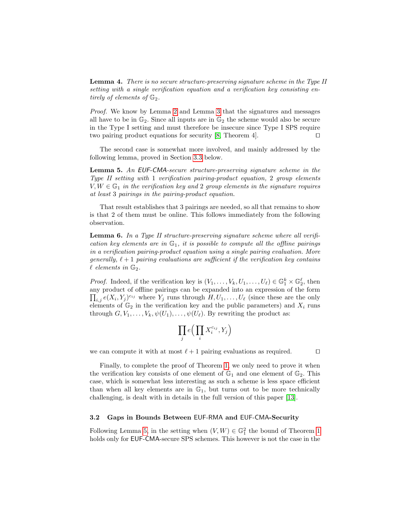**Lemma 4.** There is no secure structure-preserving signature scheme in the Type II setting with a single verification equation and a verification key consisting entirely of elements of  $\mathbb{G}_2$ .

Proof. We know by Lemma [2](#page-7-1) and Lemma [3](#page-8-0) that the signatures and messages all have to be in  $\mathbb{G}_2$ . Since all inputs are in  $\mathbb{G}_2$  the scheme would also be secure in the Type I setting and must therefore be insecure since Type I SPS require two pairing product equations for security  $[8,$  Theorem 4.

<span id="page-9-0"></span>The second case is somewhat more involved, and mainly addressed by the following lemma, proved in Section [3.3](#page-10-0) below.

Lemma 5. An EUF-CMA-secure structure-preserving signature scheme in the Type II setting with 1 verification pairing-product equation, 2 group elements  $V, W \in \mathbb{G}_1$  in the verification key and 2 group elements in the signature requires at least 3 pairings in the pairing-product equation.

That result establishes that 3 pairings are needed, so all that remains to show is that 2 of them must be online. This follows immediately from the following observation.

Lemma 6. In a Type II structure-preserving signature scheme where all verification key elements are in  $\mathbb{G}_1$ , it is possible to compute all the offline pairings in a verification pairing-product equation using a single pairing evaluation. More generally,  $\ell + 1$  pairing evaluations are sufficient if the verification key contains  $\ell$  elements in  $\mathbb{G}_2$ .

*Proof.* Indeed, if the verification key is  $(V_1, \ldots, V_k, U_1, \ldots, U_\ell) \in \mathbb{G}_1^k \times \mathbb{G}_2^\ell$ , then any product of offline pairings can be expanded into an expression of the form  $\prod_{i,j} e(X_i, Y_j)^{c_{ij}}$  where  $Y_j$  runs through  $H, U_1, \ldots, U_\ell$  (since these are the only elements of  $\mathbb{G}_2$  in the verification key and the public parameters) and  $X_i$  runs through  $G, V_1, \ldots, V_k, \psi(U_1), \ldots, \psi(U_\ell)$ . By rewriting the product as:

$$
\prod_j e\Big(\prod_i X_i^{c_{ij}}, Y_j\Big)
$$

we can compute it with at most  $\ell + 1$  pairing evaluations as required.  $\Box$ 

Finally, to complete the proof of Theorem [1,](#page-8-1) we only need to prove it when the verification key consists of one element of  $\mathbb{G}_1$  and one element of  $\mathbb{G}_2$ . This case, which is somewhat less interesting as such a scheme is less space efficient than when all key elements are in  $\mathbb{G}_1$ , but turns out to be more technically challenging, is dealt with in details in the full version of this paper [\[13\]](#page-20-10).

#### 3.2 Gaps in Bounds Between EUF-RMA and EUF-CMA-Security

Following Lemma [5,](#page-9-0) in the setting when  $(V, W) \in \mathbb{G}_1^2$  the bound of Theorem [1](#page-8-1) holds only for EUF-CMA-secure SPS schemes. This however is not the case in the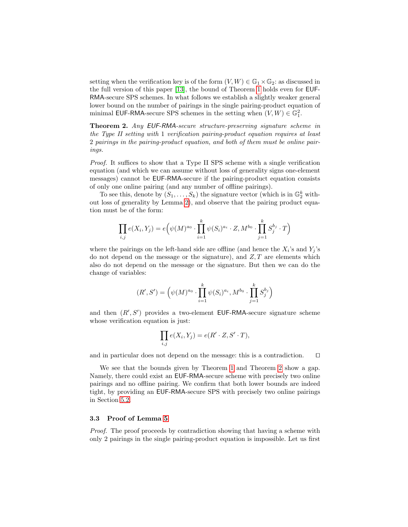setting when the verification key is of the form  $(V, W) \in \mathbb{G}_1 \times \mathbb{G}_2$ : as discussed in the full version of this paper [\[13\]](#page-20-10), the bound of Theorem [1](#page-8-1) holds even for EUF-RMA-secure SPS schemes. In what follows we establish a slightly weaker general lower bound on the number of pairings in the single pairing-product equation of minimal EUF-RMA-secure SPS schemes in the setting when  $(V, W) \in \mathbb{G}_1^2$ .

<span id="page-10-1"></span>Theorem 2. Any EUF-RMA-secure structure-preserving signature scheme in the Type II setting with 1 verification pairing-product equation requires at least 2 pairings in the pairing-product equation, and both of them must be online pairings.

Proof. It suffices to show that a Type II SPS scheme with a single verification equation (and which we can assume without loss of generality signs one-element messages) cannot be EUF-RMA-secure if the pairing-product equation consists of only one online pairing (and any number of offline pairings).

To see this, denote by  $(S_1, \ldots, S_k)$  the signature vector (which is in  $\mathbb{G}_2^k$  without loss of generality by Lemma [2\)](#page-7-1), and observe that the pairing product equation must be of the form:

$$
\prod_{i,j} e(X_i, Y_j) = e(\psi(M)^{a_0} \cdot \prod_{i=1}^k \psi(S_i)^{a_i} \cdot Z, M^{b_0} \cdot \prod_{j=1}^k S_j^{b_j} \cdot T)
$$

where the pairings on the left-hand side are offline (and hence the  $X_i$ 's and  $Y_j$ 's do not depend on the message or the signature), and  $Z, T$  are elements which also do not depend on the message or the signature. But then we can do the change of variables:

$$
(R',S') = \left(\psi(M)^{a_0} \cdot \prod_{i=1}^k \psi(S_i)^{a_i}, M^{b_0} \cdot \prod_{j=1}^k S_j^{b_j}\right)
$$

and then  $(R', S')$  provides a two-element EUF-RMA-secure signature scheme whose verification equation is just:

$$
\prod_{i,j} e(X_i, Y_j) = e(R' \cdot Z, S' \cdot T),
$$

and in particular does not depend on the message: this is a contradiction.  $\square$ 

We see that the bounds given by Theorem [1](#page-8-1) and Theorem [2](#page-10-1) show a gap. Namely, there could exist an EUF-RMA-secure scheme with precisely two online pairings and no offline pairing. We confirm that both lower bounds are indeed tight, by providing an EUF-RMA-secure SPS with precisely two online pairings in Section [5.2.](#page-16-0)

#### <span id="page-10-0"></span>3.3 Proof of Lemma [5](#page-9-0)

Proof. The proof proceeds by contradiction showing that having a scheme with only 2 pairings in the single pairing-product equation is impossible. Let us first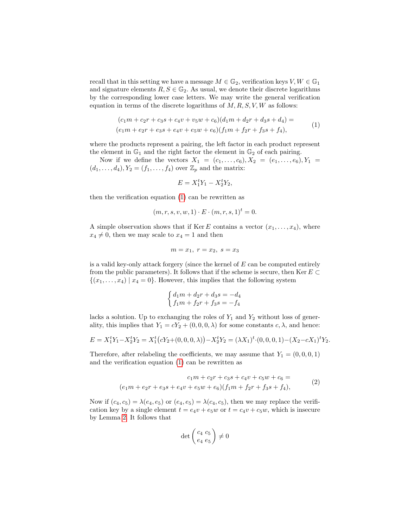recall that in this setting we have a message  $M \in \mathbb{G}_2$ , verification keys  $V, W \in \mathbb{G}_1$ and signature elements  $R, S \in \mathbb{G}_2$ . As usual, we denote their discrete logarithms by the corresponding lower case letters. We may write the general verification equation in terms of the discrete logarithms of  $M, R, S, V, W$  as follows:

$$
(c1m + c2r + c3s + c4v + v5w + c6)(d1m + d2r + d3s + d4) =(e1m + e2r + e3s + e4v + e5w + e6)(f1m + f2r + f3s + f4),
$$
\n(1)

where the products represent a pairing, the left factor in each product represent the element in  $\mathbb{G}_1$  and the right factor the element in  $\mathbb{G}_2$  of each pairing.

Now if we define the vectors  $X_1 = (c_1, \ldots, c_6), X_2 = (e_1, \ldots, e_6), Y_1 =$  $(d_1, \ldots, d_4), Y_2 = (f_1, \ldots, f_4)$  over  $\mathbb{Z}_p$  and the matrix:

<span id="page-11-0"></span>
$$
E = X_1^t Y_1 - X_2^t Y_2,
$$

then the verification equation [\(1\)](#page-11-0) can be rewritten as

$$
(m, r, s, v, w, 1) \cdot E \cdot (m, r, s, 1)^t = 0.
$$

A simple observation shows that if  $\text{Ker } E$  contains a vector  $(x_1, \ldots, x_4)$ , where  $x_4 \neq 0$ , then we may scale to  $x_4 = 1$  and then

$$
m = x_1, r = x_2, s = x_3
$$

is a valid key-only attack forgery (since the kernel of  $E$  can be computed entirely from the public parameters). It follows that if the scheme is secure, then Ker  $E \subset$  $\{(x_1, \ldots, x_4) \mid x_4 = 0\}.$  However, this implies that the following system

$$
\begin{cases} d_1m + d_2r + d_3s = -d_4\\ f_1m + f_2r + f_3s = -f_4 \end{cases}
$$

lacks a solution. Up to exchanging the roles of  $Y_1$  and  $Y_2$  without loss of generality, this implies that  $Y_1 = cY_2 + (0, 0, 0, \lambda)$  for some constants  $c, \lambda$ , and hence:

$$
E = X_1^t Y_1 - X_2^t Y_2 = X_1^t (cY_2 + (0, 0, 0, \lambda)) - X_2^t Y_2 = (\lambda X_1)^t \cdot (0, 0, 0, 1) - (X_2 - cX_1)^t Y_2.
$$

Therefore, after relabeling the coefficients, we may assume that  $Y_1 = (0, 0, 0, 1)$ and the verification equation [\(1\)](#page-11-0) can be rewritten as

$$
c_1m + c_2r + c_3s + c_4v + c_5w + c_6 =
$$
  
( $e_1m + e_2r + e_3s + e_4v + e_5w + e_6$ )( $f_1m + f_2r + f_3s + f_4$ ), (2)

Now if  $(c_4, c_5) = \lambda(e_4, e_5)$  or  $(e_4, e_5) = \lambda(c_4, c_5)$ , then we may replace the verification key by a single element  $t = e_4v + e_5w$  or  $t = c_4v + c_5w$ , which is insecure by Lemma [2.](#page-7-1) It follows that

<span id="page-11-1"></span>
$$
\det\left(\frac{c_4}{e_4}\frac{c_5}{e_5}\right) \neq 0
$$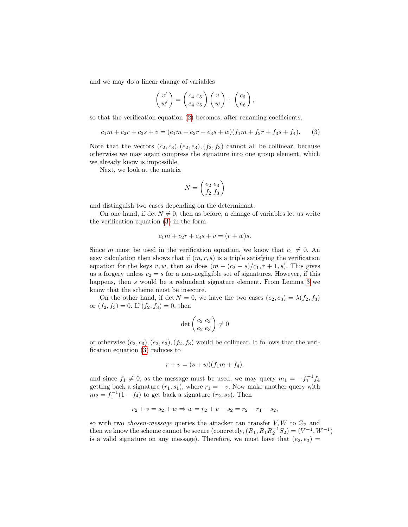and we may do a linear change of variables

$$
\begin{pmatrix} v' \\ w' \end{pmatrix} = \begin{pmatrix} c_4 & c_5 \\ e_4 & e_5 \end{pmatrix} \begin{pmatrix} v \\ w \end{pmatrix} + \begin{pmatrix} c_6 \\ e_6 \end{pmatrix},
$$

so that the verification equation [\(2\)](#page-11-1) becomes, after renaming coefficients,

$$
c_1m + c_2r + c_3s + v = (e_1m + e_2r + e_3s + w)(f_1m + f_2r + f_3s + f_4). \tag{3}
$$

Note that the vectors  $(c_2, c_3), (e_2, e_3), (f_2, f_3)$  cannot all be collinear, because otherwise we may again compress the signature into one group element, which we already know is impossible.

Next, we look at the matrix

<span id="page-12-0"></span>
$$
N = \begin{pmatrix} e_2 & e_3 \\ f_2 & f_3 \end{pmatrix}
$$

and distinguish two cases depending on the determinant.

On one hand, if det  $N \neq 0$ , then as before, a change of variables let us write the verification equation [\(3\)](#page-12-0) in the form

$$
c_1m + c_2r + c_3s + v = (r + w)s.
$$

Since m must be used in the verification equation, we know that  $c_1 \neq 0$ . An easy calculation then shows that if  $(m, r, s)$  is a triple satisfying the verification equation for the keys v, w, then so does  $(m - (c_2 - s)/c_1, r + 1, s)$ . This gives us a forgery unless  $c_2 = s$  for a non-negligible set of signatures. However, if this happens, then s would be a redundant signature element. From Lemma [3](#page-8-0) we know that the scheme must be insecure.

On the other hand, if det  $N = 0$ , we have the two cases  $(e_2, e_3) = \lambda(f_2, f_3)$ or  $(f_2, f_3) = 0$ . If  $(f_2, f_3) = 0$ , then

$$
\det\left(\frac{c_2}{e_2}\frac{c_3}{e_3}\right) \neq 0
$$

or otherwise  $(c_2, c_3), (e_2, e_3), (f_2, f_3)$  would be collinear. It follows that the verification equation [\(3\)](#page-12-0) reduces to

$$
r + v = (s + w)(f_1m + f_4).
$$

and since  $f_1 \neq 0$ , as the message must be used, we may query  $m_1 = -f_1^{-1}f_4$ getting back a signature  $(r_1, s_1)$ , where  $r_1 = -v$ . Now make another query with  $m_2 = f_1^{-1}(1 - f_4)$  to get back a signature  $(r_2, s_2)$ . Then

$$
r_2 + v = s_2 + w \Rightarrow w = r_2 + v - s_2 = r_2 - r_1 - s_2,
$$

so with two *chosen-message* queries the attacker can transfer  $V, W$  to  $\mathbb{G}_2$  and then we know the scheme cannot be secure (concretely,  $(R_1, R_1 R_2^{-1} S_2) = (V^{-1}, W^{-1})$ is a valid signature on any message). Therefore, we must have that  $(e_2, e_3)$  =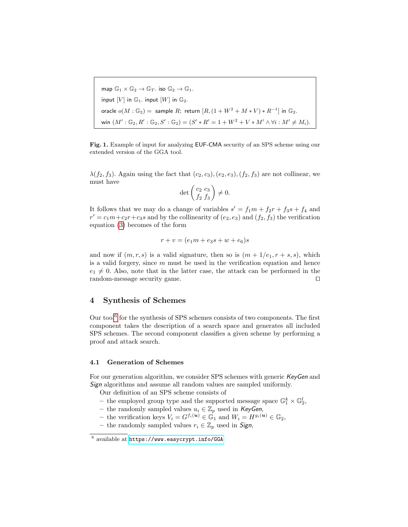map  $\mathbb{G}_1 \times \mathbb{G}_2 \rightarrow \mathbb{G}_T$ . iso  $\mathbb{G}_2 \rightarrow \mathbb{G}_1$ . input  $[V]$  in  $\mathbb{G}_1$ . input  $[W]$  in  $\mathbb{G}_2$ . oracle  $o(M:\mathbb{G}_2)=$  sample  $R;$  return  $[R,(1+W^2+M*V)*R^{-1}]$  in  $\mathbb{G}_2.$ win  $(M': \mathbb{G}_2, R': \mathbb{G}_2, S': \mathbb{G}_2) = (S' * R' = 1 + W^2 + V * M' \wedge \forall i : M' \neq M_i).$ 

<span id="page-13-1"></span>Fig. 1. Example of input for analyzing EUF-CMA security of an SPS scheme using our extended version of the GGA tool.

 $\lambda(f_2, f_3)$ . Again using the fact that  $(c_2, c_3), (e_2, e_3), (f_2, f_3)$  are not collinear, we must have

$$
\det\left(\frac{c_2}{f_2}\frac{c_3}{f_3}\right) \neq 0.
$$

It follows that we may do a change of variables  $s' = f_1m + f_2r + f_3s + f_4$  and  $r' = c_1m + c_2r + c_3s$  and by the collinearity of  $(e_2, e_3)$  and  $(f_2, f_3)$  the verification equation [\(3\)](#page-12-0) becomes of the form

$$
r + v = (e_1m + e_3s + w + e_6)s
$$

and now if  $(m, r, s)$  is a valid signature, then so is  $(m + 1/e<sub>1</sub>, r + s, s)$ , which is a valid forgery, since  $m$  must be used in the verification equation and hence  $e_1 \neq 0$ . Also, note that in the latter case, the attack can be performed in the random-message security game.  $\square$ 

# <span id="page-13-2"></span>4 Synthesis of Schemes

Our tool<sup>[6](#page-13-0)</sup> for the synthesis of SPS schemes consists of two components. The first component takes the description of a search space and generates all included SPS schemes. The second component classifies a given scheme by performing a proof and attack search.

#### 4.1 Generation of Schemes

For our generation algorithm, we consider SPS schemes with generic KeyGen and Sign algorithms and assume all random values are sampled uniformly.

Our definition of an SPS scheme consists of

- the employed group type and the supported message space  $\mathbb{G}_1^k\times\mathbb{G}_2^l,$
- the randomly sampled values  $u_i \in \mathbb{Z}_p$  used in KeyGen,
- the verification keys  $V_i = G^{f_i(u)} \in \mathbb{G}_1$  and  $W_i = H^{g_i(u)} \in \mathbb{G}_2$ ,
- the randomly sampled values  $r_i \in \mathbb{Z}_p$  used in Sign,

<span id="page-13-0"></span> $^6$  available at <code><https://www.easycrypt.info/GGA></code>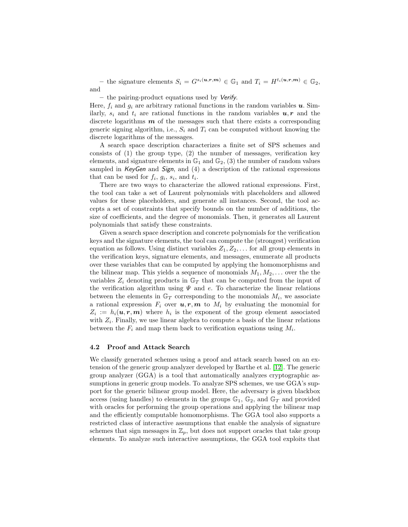– the signature elements  $S_i = G^{s_i(\boldsymbol{u}, \boldsymbol{r}, \boldsymbol{m})} \in \mathbb{G}_1$  and  $T_i = H^{t_i(\boldsymbol{u}, \boldsymbol{r}, \boldsymbol{m})} \in \mathbb{G}_2$ , and

– the pairing-product equations used by Verify.

Here,  $f_i$  and  $g_i$  are arbitrary rational functions in the random variables  $u$ . Similarly,  $s_i$  and  $t_i$  are rational functions in the random variables  $u, r$  and the discrete logarithms  $m$  of the messages such that there exists a corresponding generic signing algorithm, i.e.,  $S_i$  and  $T_i$  can be computed without knowing the discrete logarithms of the messages.

A search space description characterizes a finite set of SPS schemes and consists of (1) the group type, (2) the number of messages, verification key elements, and signature elements in  $\mathbb{G}_1$  and  $\mathbb{G}_2$ , (3) the number of random values sampled in KeyGen and Sign, and (4) a description of the rational expressions that can be used for  $f_i$ ,  $g_i$ ,  $s_i$ , and  $t_i$ .

There are two ways to characterize the allowed rational expressions. First, the tool can take a set of Laurent polynomials with placeholders and allowed values for these placeholders, and generate all instances. Second, the tool accepts a set of constraints that specify bounds on the number of additions, the size of coefficients, and the degree of monomials. Then, it generates all Laurent polynomials that satisfy these constraints.

Given a search space description and concrete polynomials for the verification keys and the signature elements, the tool can compute the (strongest) verification equation as follows. Using distinct variables  $Z_1, Z_2, \ldots$  for all group elements in the verification keys, signature elements, and messages, enumerate all products over these variables that can be computed by applying the homomorphisms and the bilinear map. This yields a sequence of monomials  $M_1, M_2, \ldots$  over the the variables  $Z_i$  denoting products in  $\mathbb{G}_T$  that can be computed from the input of the verification algorithm using  $\Psi$  and  $e$ . To characterize the linear relations between the elements in  $\mathbb{G}_T$  corresponding to the monomials  $M_i$ , we associate a rational expression  $F_i$  over  $u, r, m$  to  $M_i$  by evaluating the monomial for  $Z_i := h_i(\boldsymbol{u}, \boldsymbol{r}, \boldsymbol{m})$  where  $h_i$  is the exponent of the group element associated with  $Z_i$ . Finally, we use linear algebra to compute a basis of the linear relations between the  $F_i$  and map them back to verification equations using  $M_i$ .

#### 4.2 Proof and Attack Search

We classify generated schemes using a proof and attack search based on an extension of the generic group analyzer developed by Barthe et al. [\[12\]](#page-20-4). The generic group analyzer (GGA) is a tool that automatically analyzes cryptographic assumptions in generic group models. To analyze SPS schemes, we use GGA's support for the generic bilinear group model. Here, the adversary is given blackbox access (using handles) to elements in the groups  $\mathbb{G}_1$ ,  $\mathbb{G}_2$ , and  $\mathbb{G}_T$  and provided with oracles for performing the group operations and applying the bilinear map and the efficiently computable homomorphisms. The GGA tool also supports a restricted class of interactive assumptions that enable the analysis of signature schemes that sign messages in  $\mathbb{Z}_p$ , but does not support oracles that take group elements. To analyze such interactive assumptions, the GGA tool exploits that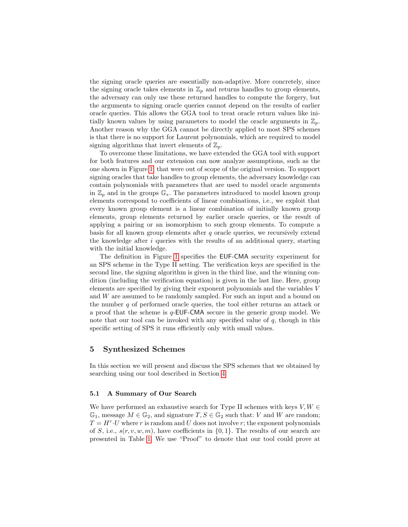the signing oracle queries are essentially non-adaptive. More concretely, since the signing oracle takes elements in  $\mathbb{Z}_p$  and returns handles to group elements, the adversary can only use these returned handles to compute the forgery, but the arguments to signing oracle queries cannot depend on the results of earlier oracle queries. This allows the GGA tool to treat oracle return values like initially known values by using parameters to model the oracle arguments in  $\mathbb{Z}_p$ . Another reason why the GGA cannot be directly applied to most SPS schemes is that there is no support for Laurent polynomials, which are required to model signing algorithms that invert elements of  $\mathbb{Z}_p$ .

To overcome these limitations, we have extended the GGA tool with support for both features and our extension can now analyze assumptions, such as the one shown in Figure [1,](#page-13-1) that were out of scope of the original version. To support signing oracles that take handles to group elements, the adversary knowledge can contain polynomials with parameters that are used to model oracle arguments in  $\mathbb{Z}_p$  and in the groups  $\mathbb{G}_*$ . The parameters introduced to model known group elements correspond to coefficients of linear combinations, i.e., we exploit that every known group element is a linear combination of initially known group elements, group elements returned by earlier oracle queries, or the result of applying a pairing or an isomorphism to such group elements. To compute a basis for all known group elements after  $q$  oracle queries, we recursively extend the knowledge after  $i$  queries with the results of an additional query, starting with the initial knowledge.

The definition in Figure [1](#page-13-1) specifies the EUF-CMA security experiment for an SPS scheme in the Type II setting. The verification keys are specified in the second line, the signing algorithm is given in the third line, and the winning condition (including the verification equation) is given in the last line. Here, group elements are specified by giving their exponent polynomials and the variables V and W are assumed to be randomly sampled. For such an input and a bound on the number  $q$  of performed oracle queries, the tool either returns an attack or a proof that the scheme is q-EUF-CMA secure in the generic group model. We note that our tool can be invoked with any specified value of  $q$ , though in this specific setting of SPS it runs efficiently only with small values.

### 5 Synthesized Schemes

In this section we will present and discuss the SPS schemes that we obtained by searching using our tool described in Section [4.](#page-13-2)

#### 5.1 A Summary of Our Search

We have performed an exhaustive search for Type II schemes with keys  $V, W \in$  $\mathbb{G}_1$ , message  $M \in \mathbb{G}_2$ , and signature  $T, S \in \mathbb{G}_2$  such that: V and W are random;  $T = H<sup>r</sup> \cdot U$  where r is random and U does not involve r; the exponent polynomials of S, i.e.,  $s(r, v, w, m)$ , have coefficients in  $\{0, 1\}$ . The results of our search are presented in Table [1.](#page-16-1) We use "Proof" to denote that our tool could prove at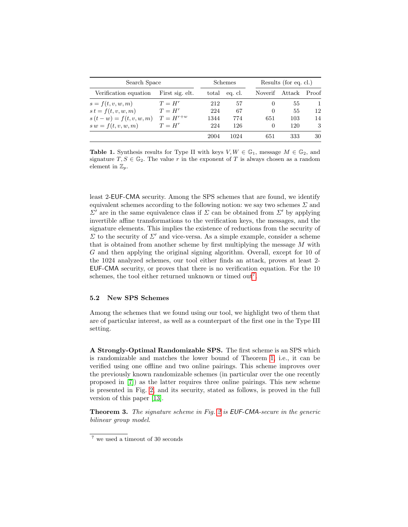| Search Space             |                    | <b>Schemes</b> |         | Results (for eq. cl.) |        |       |
|--------------------------|--------------------|----------------|---------|-----------------------|--------|-------|
| Verification equation    | First sig. elt.    | total          | eq. cl. | Noverif               | Attack | Proof |
| $s = f(t, v, w, m)$      | $T = H^r$          | 212            | 57      | $\theta$              | 55     | 1     |
| $s t = f(t, v, w, m)$    | $T = H^r$          | 224            | 67      | 0                     | 55     | 12    |
| $s(t-w) = f(t, v, w, m)$ | $T \equiv H^{r+w}$ | 1344           | 774     | 651                   | 103    | 14    |
| $sw = f(t, v, w, m)$     | $T = H^r$          | 224            | 126     | 0                     | 120    | 3     |
|                          |                    | 2004           | 1024    | 651                   | 333    | 30    |

<span id="page-16-1"></span>**Table 1.** Synthesis results for Type II with keys  $V, W \in \mathbb{G}_1$ , message  $M \in \mathbb{G}_2$ , and signature  $T, S \in \mathbb{G}_2$ . The value r in the exponent of T is always chosen as a random element in  $\mathbb{Z}_p$ .

least 2-EUF-CMA security. Among the SPS schemes that are found, we identify equivalent schemes according to the following notion: we say two schemes  $\Sigma$  and  $\Sigma'$  are in the same equivalence class if Σ can be obtained from  $\Sigma'$  by applying invertible affine transformations to the verification keys, the messages, and the signature elements. This implies the existence of reductions from the security of  $\Sigma$  to the security of  $\Sigma'$  and vice-versa. As a simple example, consider a scheme that is obtained from another scheme by first multiplying the message M with G and then applying the original signing algorithm. Overall, except for 10 of the 1024 analyzed schemes, our tool either finds an attack, proves at least 2- EUF-CMA security, or proves that there is no verification equation. For the 10 schemes, the tool either returned unknown or timed out<sup>[7](#page-16-2)</sup>.

# <span id="page-16-0"></span>5.2 New SPS Schemes

Among the schemes that we found using our tool, we highlight two of them that are of particular interest, as well as a counterpart of the first one in the Type III setting.

A Strongly-Optimal Randomizable SPS. The first scheme is an SPS which is randomizable and matches the lower bound of Theorem [1,](#page-8-1) i.e., it can be verified using one offline and two online pairings. This scheme improves over the previously known randomizable schemes (in particular over the one recently proposed in [\[7\]](#page-20-3)) as the latter requires three online pairings. This new scheme is presented in Fig. [2,](#page-18-0) and its security, stated as follows, is proved in the full version of this paper [\[13\]](#page-20-10).

Theorem 3. The signature scheme in Fig. [2](#page-18-0) is EUF-CMA-secure in the generic bilinear group model.

<span id="page-16-2"></span> $\overline{7}$  we used a timeout of 30 seconds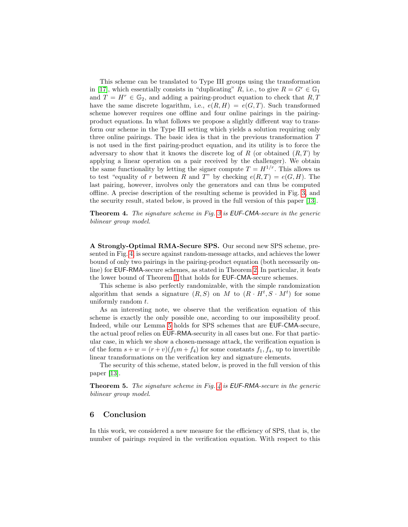This scheme can be translated to Type III groups using the transformation in [\[17\]](#page-20-7), which essentially consists in "duplicating" R, i.e., to give  $R = G^r \in \mathbb{G}_1$ and  $T = H^r \in \mathbb{G}_2$ , and adding a pairing-product equation to check that  $R, T$ have the same discrete logarithm, i.e.,  $e(R, H) = e(G, T)$ . Such transformed scheme however requires one offline and four online pairings in the pairingproduct equations. In what follows we propose a slightly different way to transform our scheme in the Type III setting which yields a solution requiring only three online pairings. The basic idea is that in the previous transformation T is not used in the first pairing-product equation, and its utility is to force the adversary to show that it knows the discrete log of R (or obtained  $(R, T)$  by applying a linear operation on a pair received by the challenger). We obtain the same functionality by letting the signer compute  $T = H^{1/r}$ . This allows us to test "equality of r between R and T" by checking  $e(R,T) = e(G,H)$ . The last pairing, however, involves only the generators and can thus be computed offline. A precise description of the resulting scheme is provided in Fig. [3,](#page-18-1) and the security result, stated below, is proved in the full version of this paper [\[13\]](#page-20-10).

Theorem 4. The signature scheme in Fig. [3](#page-18-1) is EUF-CMA-secure in the generic bilinear group model.

A Strongly-Optimal RMA-Secure SPS. Our second new SPS scheme, presented in Fig. [4,](#page-18-2) is secure against random-message attacks, and achieves the lower bound of only two pairings in the pairing-product equation (both necessarily online) for EUF-RMA-secure schemes, as stated in Theorem [2.](#page-10-1) In particular, it beats the lower bound of Theorem [1](#page-8-1) that holds for EUF-CMA-secure schemes.

This scheme is also perfectly randomizable, with the simple randomization algorithm that sends a signature  $(R, S)$  on M to  $(R \cdot H^t, S \cdot M^t)$  for some uniformly random t.

As an interesting note, we observe that the verification equation of this scheme is exactly the only possible one, according to our impossibility proof. Indeed, while our Lemma [5](#page-9-0) holds for SPS schemes that are EUF-CMA-secure, the actual proof relies on EUF-RMA-security in all cases but one. For that particular case, in which we show a chosen-message attack, the verification equation is of the form  $s + w = (r + v)(f_1m + f_4)$  for some constants  $f_1, f_4$ , up to invertible linear transformations on the verification key and signature elements.

The security of this scheme, stated below, is proved in the full version of this paper [\[13\]](#page-20-10).

**Theorem 5.** The signature scheme in Fig. [4](#page-18-2) is EUF-RMA-secure in the generic bilinear group model.

# 6 Conclusion

In this work, we considered a new measure for the efficiency of SPS, that is, the number of pairings required in the verification equation. With respect to this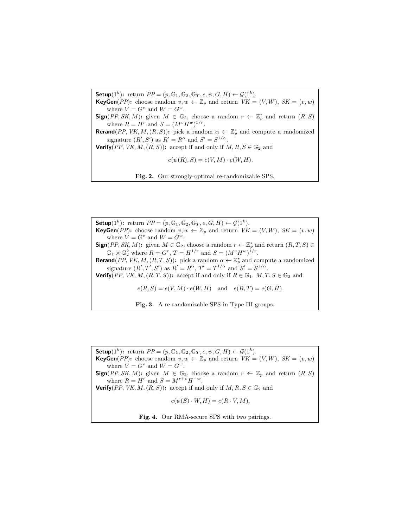Setup $(1^k)$ : return  $PP = (p, \mathbb{G}_1, \mathbb{G}_2, \mathbb{G}_T, e, \psi, G, H) \leftarrow \mathcal{G}(1^k)$ . **KeyGen**(*PP*): choose random  $v, w \leftarrow \mathbb{Z}_p$  and return  $VK = (V, W), SK = (v, w)$ where  $V = G^v$  and  $W = G^w$ .  $Sign(PP, SK, M)$ : given  $M \in \mathbb{G}_2$ , choose a random  $r \leftarrow \mathbb{Z}_p^*$  and return  $(R, S)$ where  $R = H^r$  and  $S = (M^v H^w)^{1/r}$ . **Rerand**(PP, VK, M,  $(R, S)$ ): pick a random  $\alpha \leftarrow \mathbb{Z}_p^*$  and compute a randomized signature  $(R', S')$  as  $R' = R^{\alpha}$  and  $S' = S^{1/\alpha}$ . **Verify**(PP, VK, M,  $(R, S)$ ): accept if and only if  $M, R, S \in \mathbb{G}_2$  and  $e(\psi(R), S) = e(V, M) \cdot e(W, H).$ 

<span id="page-18-0"></span>Fig. 2. Our strongly-optimal re-randomizable SPS.

Setup $(1^k)$ : return  $PP = (p, \mathbb{G}_1, \mathbb{G}_2, \mathbb{G}_T, e, G, H) \leftarrow \mathcal{G}(1^k)$ . **KeyGen**(*PP*): choose random  $v, w \leftarrow \mathbb{Z}_p$  and return  $VK = (V, W), SK = (v, w)$ where  $V = G^v$  and  $W = G^w$ .  $Sign(PP, SK, M)$ : given  $M \in \mathbb{G}_2$ , choose a random  $r \leftarrow \mathbb{Z}_p^*$  and return  $(R, T, S) \in$  $\mathbb{G}_1 \times \mathbb{G}_2^2$  where  $R = G^r$ ,  $T = H^{1/r}$  and  $S = (M^v H^w)^{1/r}$ . **Rerand**(PP, VK, M,  $(R, T, S)$ ): pick a random  $\alpha \leftarrow \mathbb{Z}_p^*$  and compute a randomized signature  $(R', T', S')$  as  $R' = R^{\alpha}, T' = T^{1/\alpha}$  and  $S' = S^{1/\alpha}$ . **Verify**(PP, VK, M,  $(R, T, S)$ ): accept if and only if  $R \in \mathbb{G}_1$ , M,  $T, S \in \mathbb{G}_2$  and  $e(R, S) = e(V, M) \cdot e(W, H)$  and  $e(R, T) = e(G, H)$ .

<span id="page-18-1"></span>Fig. 3. A re-randomizable SPS in Type III groups.

<span id="page-18-2"></span>Setup $(1^k)$ : return  $PP = (p, \mathbb{G}_1, \mathbb{G}_2, \mathbb{G}_T, e, \psi, G, H) \leftarrow \mathcal{G}(1^k)$ . **KeyGen**(*PP*): choose random  $v, w \leftarrow \mathbb{Z}_p$  and return  $VK = (V, W), SK = (v, w)$ where  $V = G^v$  and  $W = G^w$ .  $Sign(PP, SK, M)$ : given  $M \in \mathbb{G}_2$ , choose a random  $r \leftarrow \mathbb{Z}_p$  and return  $(R, S)$ where  $R = H^r$  and  $S = M^{r+v}H^{-w}$ . **Verify**(PP, VK, M,  $(R, S)$ ): accept if and only if  $M, R, S \in \mathbb{G}_2$  and  $e(\psi(S) \cdot W, H) = e(R \cdot V, M).$ Fig. 4. Our RMA-secure SPS with two pairings.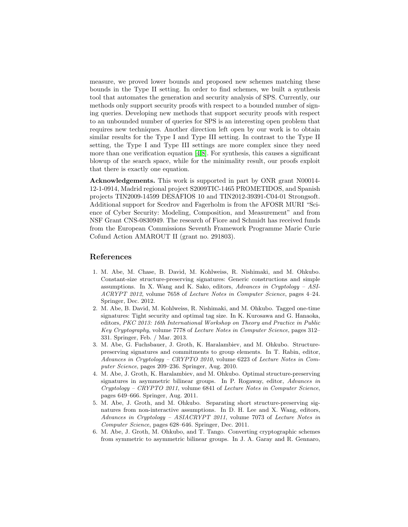measure, we proved lower bounds and proposed new schemes matching these bounds in the Type II setting. In order to find schemes, we built a synthesis tool that automates the generation and security analysis of SPS. Currently, our methods only support security proofs with respect to a bounded number of signing queries. Developing new methods that support security proofs with respect to an unbounded number of queries for SPS is an interesting open problem that requires new techniques. Another direction left open by our work is to obtain similar results for the Type I and Type III setting. In contrast to the Type II setting, the Type I and Type III settings are more complex since they need more than one verification equation [\[4,](#page-19-2)[8\]](#page-20-2). For synthesis, this causes a significant blowup of the search space, while for the minimality result, our proofs exploit that there is exactly one equation.

Acknowledgements. This work is supported in part by ONR grant N00014- 12-1-0914, Madrid regional project S2009TIC-1465 PROMETIDOS, and Spanish projects TIN2009-14599 DESAFIOS 10 and TIN2012-39391-C04-01 Strongsoft. Additional support for Scedrov and Fagerholm is from the AFOSR MURI "Science of Cyber Security: Modeling, Composition, and Measurement" and from NSF Grant CNS-0830949. The research of Fiore and Schmidt has received funds from the European Commissions Seventh Framework Programme Marie Curie Cofund Action AMAROUT II (grant no. 291803).

# References

- <span id="page-19-1"></span>1. M. Abe, M. Chase, B. David, M. Kohlweiss, R. Nishimaki, and M. Ohkubo. Constant-size structure-preserving signatures: Generic constructions and simple assumptions. In X. Wang and K. Sako, editors, Advances in Cryptology – ASI-ACRYPT 2012, volume 7658 of Lecture Notes in Computer Science, pages 4–24. Springer, Dec. 2012.
- <span id="page-19-4"></span>2. M. Abe, B. David, M. Kohlweiss, R. Nishimaki, and M. Ohkubo. Tagged one-time signatures: Tight security and optimal tag size. In K. Kurosawa and G. Hanaoka, editors, PKC 2013: 16th International Workshop on Theory and Practice in Public Key Cryptography, volume 7778 of Lecture Notes in Computer Science, pages 312– 331. Springer, Feb. / Mar. 2013.
- <span id="page-19-0"></span>3. M. Abe, G. Fuchsbauer, J. Groth, K. Haralambiev, and M. Ohkubo. Structurepreserving signatures and commitments to group elements. In T. Rabin, editor, Advances in Cryptology – CRYPTO 2010, volume 6223 of Lecture Notes in Computer Science, pages 209–236. Springer, Aug. 2010.
- <span id="page-19-2"></span>4. M. Abe, J. Groth, K. Haralambiev, and M. Ohkubo. Optimal structure-preserving signatures in asymmetric bilinear groups. In P. Rogaway, editor, Advances in Cryptology – CRYPTO 2011, volume 6841 of Lecture Notes in Computer Science, pages 649–666. Springer, Aug. 2011.
- <span id="page-19-3"></span>5. M. Abe, J. Groth, and M. Ohkubo. Separating short structure-preserving signatures from non-interactive assumptions. In D. H. Lee and X. Wang, editors, Advances in Cryptology – ASIACRYPT 2011, volume 7073 of Lecture Notes in Computer Science, pages 628–646. Springer, Dec. 2011.
- <span id="page-19-5"></span>6. M. Abe, J. Groth, M. Ohkubo, and T. Tango. Converting cryptographic schemes from symmetric to asymmetric bilinear groups. In J. A. Garay and R. Gennaro,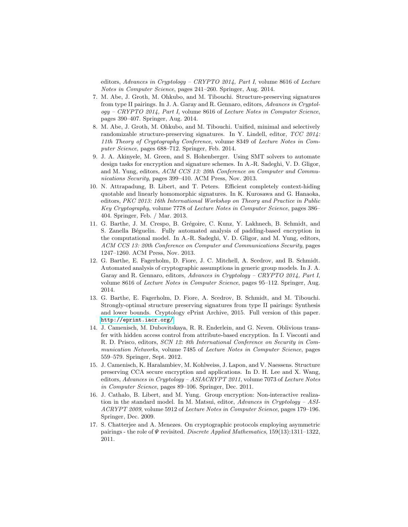editors, Advances in Cryptology – CRYPTO 2014, Part I, volume 8616 of Lecture Notes in Computer Science, pages 241–260. Springer, Aug. 2014.

- <span id="page-20-3"></span>7. M. Abe, J. Groth, M. Ohkubo, and M. Tibouchi. Structure-preserving signatures from type II pairings. In J. A. Garay and R. Gennaro, editors, Advances in Cryptol $ogy - CRYPTO 2014$ , Part I, volume 8616 of Lecture Notes in Computer Science, pages 390–407. Springer, Aug. 2014.
- <span id="page-20-2"></span>8. M. Abe, J. Groth, M. Ohkubo, and M. Tibouchi. Unified, minimal and selectively randomizable structure-preserving signatures. In Y. Lindell, editor, TCC 2014: 11th Theory of Cryptography Conference, volume 8349 of Lecture Notes in Computer Science, pages 688–712. Springer, Feb. 2014.
- <span id="page-20-9"></span>9. J. A. Akinyele, M. Green, and S. Hohenberger. Using SMT solvers to automate design tasks for encryption and signature schemes. In A.-R. Sadeghi, V. D. Gligor, and M. Yung, editors, ACM CCS 13: 20th Conference on Computer and Communications Security, pages 399–410. ACM Press, Nov. 2013.
- <span id="page-20-0"></span>10. N. Attrapadung, B. Libert, and T. Peters. Efficient completely context-hiding quotable and linearly homomorphic signatures. In K. Kurosawa and G. Hanaoka, editors, PKC 2013: 16th International Workshop on Theory and Practice in Public Key Cryptography, volume 7778 of Lecture Notes in Computer Science, pages 386– 404. Springer, Feb. / Mar. 2013.
- <span id="page-20-8"></span>11. G. Barthe, J. M. Crespo, B. Grégoire, C. Kunz, Y. Lakhnech, B. Schmidt, and S. Zanella Béguelin. Fully automated analysis of padding-based encryption in the computational model. In A.-R. Sadeghi, V. D. Gligor, and M. Yung, editors, ACM CCS 13: 20th Conference on Computer and Communications Security, pages 1247–1260. ACM Press, Nov. 2013.
- <span id="page-20-4"></span>12. G. Barthe, E. Fagerholm, D. Fiore, J. C. Mitchell, A. Scedrov, and B. Schmidt. Automated analysis of cryptographic assumptions in generic group models. In J. A. Garay and R. Gennaro, editors, Advances in Cryptology – CRYPTO 2014, Part I, volume 8616 of Lecture Notes in Computer Science, pages 95–112. Springer, Aug. 2014.
- <span id="page-20-10"></span>13. G. Barthe, E. Fagerholm, D. Fiore, A. Scedrov, B. Schmidt, and M. Tibouchi. Strongly-optimal structure preserving signatures from type II pairings: Synthesis and lower bounds. Cryptology ePrint Archive, 2015. Full version of this paper. <http://eprint.iacr.org/>.
- <span id="page-20-1"></span>14. J. Camenisch, M. Dubovitskaya, R. R. Enderlein, and G. Neven. Oblivious transfer with hidden access control from attribute-based encryption. In I. Visconti and R. D. Prisco, editors, SCN 12: 8th International Conference on Security in Communication Networks, volume 7485 of Lecture Notes in Computer Science, pages 559–579. Springer, Sept. 2012.
- <span id="page-20-5"></span>15. J. Camenisch, K. Haralambiev, M. Kohlweiss, J. Lapon, and V. Naessens. Structure preserving CCA secure encryption and applications. In D. H. Lee and X. Wang, editors, Advances in Cryptology – ASIACRYPT 2011, volume 7073 of Lecture Notes in Computer Science, pages 89–106. Springer, Dec. 2011.
- <span id="page-20-6"></span>16. J. Cathalo, B. Libert, and M. Yung. Group encryption: Non-interactive realization in the standard model. In M. Matsui, editor, Advances in Cryptology – ASI-ACRYPT 2009, volume 5912 of Lecture Notes in Computer Science, pages 179–196. Springer, Dec. 2009.
- <span id="page-20-7"></span>17. S. Chatterjee and A. Menezes. On cryptographic protocols employing asymmetric pairings - the role of  $\Psi$  revisited. Discrete Applied Mathematics, 159(13):1311-1322, 2011.